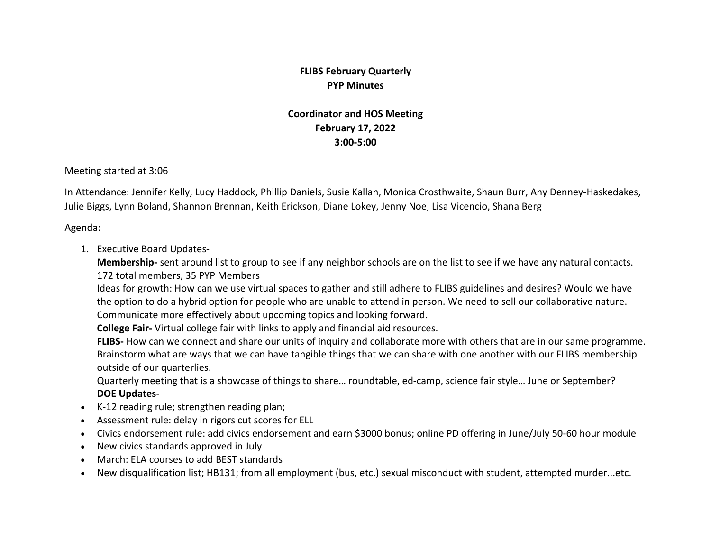## **FLIBS February Quarterly PYP Minutes**

## **Coordinator and HOS Meeting February 17, 2022 3:00-5:00**

Meeting started at 3:06

In Attendance: Jennifer Kelly, Lucy Haddock, Phillip Daniels, Susie Kallan, Monica Crosthwaite, Shaun Burr, Any Denney-Haskedakes, Julie Biggs, Lynn Boland, Shannon Brennan, Keith Erickson, Diane Lokey, Jenny Noe, Lisa Vicencio, Shana Berg

Agenda:

1. Executive Board Updates-

**Membership-** sent around list to group to see if any neighbor schools are on the list to see if we have any natural contacts. 172 total members, 35 PYP Members

Ideas for growth: How can we use virtual spaces to gather and still adhere to FLIBS guidelines and desires? Would we have the option to do a hybrid option for people who are unable to attend in person. We need to sell our collaborative nature. Communicate more effectively about upcoming topics and looking forward.

**College Fair-** Virtual college fair with links to apply and financial aid resources.

**FLIBS-** How can we connect and share our units of inquiry and collaborate more with others that are in our same programme. Brainstorm what are ways that we can have tangible things that we can share with one another with our FLIBS membership outside of our quarterlies.

Quarterly meeting that is a showcase of things to share… roundtable, ed-camp, science fair style… June or September? **DOE Updates-**

- K-12 reading rule; strengthen reading plan;
- Assessment rule: delay in rigors cut scores for ELL
- Civics endorsement rule: add civics endorsement and earn \$3000 bonus; online PD offering in June/July 50-60 hour module
- New civics standards approved in July
- March: ELA courses to add BEST standards
- New disqualification list; HB131; from all employment (bus, etc.) sexual misconduct with student, attempted murder...etc.